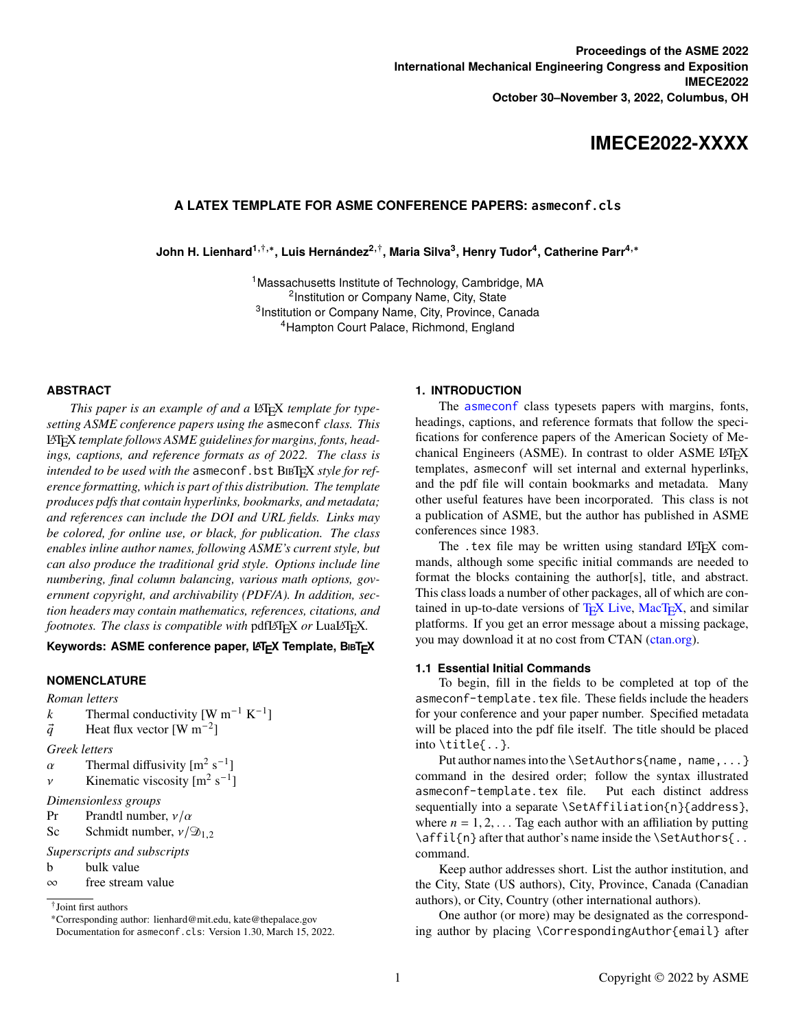# **IMECE2022-XXXX**

## **A LATEX TEMPLATE FOR ASME CONFERENCE PAPERS: asmeconf.cls**

 $\lambda$ John H. Lienhard $^{\mathbf{1},\dagger,\ast},$  Luis Hernández<sup>2, †</sup>, Maria Silva $^{\mathbf{3}},$  Henry Tudor<sup>4</sup>, Catherine Parr<sup>4,∗</sup>

<sup>1</sup>Massachusetts Institute of Technology, Cambridge, MA <sup>2</sup> Institution or Company Name, City, State <sup>3</sup> Institution or Company Name, City, Province, Canada <sup>4</sup>Hampton Court Palace, Richmond, England

#### **ABSTRACT**

*This paper is an example of and a* LATEX *template for typesetting ASME conference papers using the* asmeconf *class. This* LATEX *template follows ASME guidelines for margins, fonts, headings, captions, and reference formats as of 2022. The class is intended to be used with the asmeconf.bst BIBTEX style for reference formatting, which is part of this distribution. The template produces pdfs that contain hyperlinks, bookmarks, and metadata; and references can include the DOI and URL fields. Links may be colored, for online use, or black, for publication. The class enables inline author names, following ASME's current style, but can also produce the traditional grid style. Options include line numbering, final column balancing, various math options, government copyright, and archivability (PDF/A). In addition, section headers may contain mathematics, references, citations, and footnotes. The class is compatible with* pdfLAT<sub>E</sub>X *or* LuaLAT<sub>E</sub>X.

#### **Keywords: ASME conference paper, LATEX Template, BIBTEX**

## **NOMENCLATURE**

*Roman letters*

k Thermal conductivity [W m<sup>-1</sup> K<sup>-1</sup>]

- $\vec{q}$  Heat flux vector [W m<sup>-2</sup>]
- *Greek letters*

 $\alpha$  Thermal diffusivity  $\left[\text{m}^2 \text{ s}^{-1}\right]$ 

v Kinematic viscosity  $[m^2 s^{-1}]$ 

*Dimensionless groups*

- Pr Prandtl number,  $v/\alpha$
- Sc Schmidt number,  $v/\mathfrak{D}_1$ ,

```
Superscripts and subscripts
```
- b bulk value
- ∞ free stream value

#### **1. INTRODUCTION**

The [asmeconf](https://ctan.org/pkg/asmeconf) class typesets papers with margins, fonts, headings, captions, and reference formats that follow the specifications for conference papers of the American Society of Mechanical Engineers (ASME). In contrast to older ASME LATEX templates, asmeconf will set internal and external hyperlinks, and the pdf file will contain bookmarks and metadata. Many other useful features have been incorporated. This class is not a publication of ASME, but the author has published in ASME conferences since 1983.

The .tex file may be written using standard LATEX commands, although some specific initial commands are needed to format the blocks containing the author[s], title, and abstract. This class loads a number of other packages, all of which are contained in up-to-date versions of  $T_F X$  Live, Mac $T_F X$ , and similar platforms. If you get an error message about a missing package, you may download it at no cost from CTAN [\(ctan.org\)](https://ctan.org).

#### **1.1 Essential Initial Commands**

To begin, fill in the fields to be completed at top of the asmeconf-template.tex file. These fields include the headers for your conference and your paper number. Specified metadata will be placed into the pdf file itself. The title should be placed into \title{..}.

Put author names into the \SetAuthors{name, name, ...} command in the desired order; follow the syntax illustrated asmeconf-template.tex file. Put each distinct address sequentially into a separate \SetAffiliation{n}{address}, where  $n = 1, 2, \ldots$  Tag each author with an affiliation by putting \affil{n} after that author's name inside the \SetAuthors{...} command.

Keep author addresses short. List the author institution, and the City, State (US authors), City, Province, Canada (Canadian authors), or City, Country (other international authors).

One author (or more) may be designated as the corresponding author by placing \CorrespondingAuthor{email} after

<sup>†</sup> Joint first authors

<sup>∗</sup>Corresponding author: lienhard@mit.edu, kate@thepalace.gov

Documentation for asmeconf.cls: Version 1.30, March 15, 2022.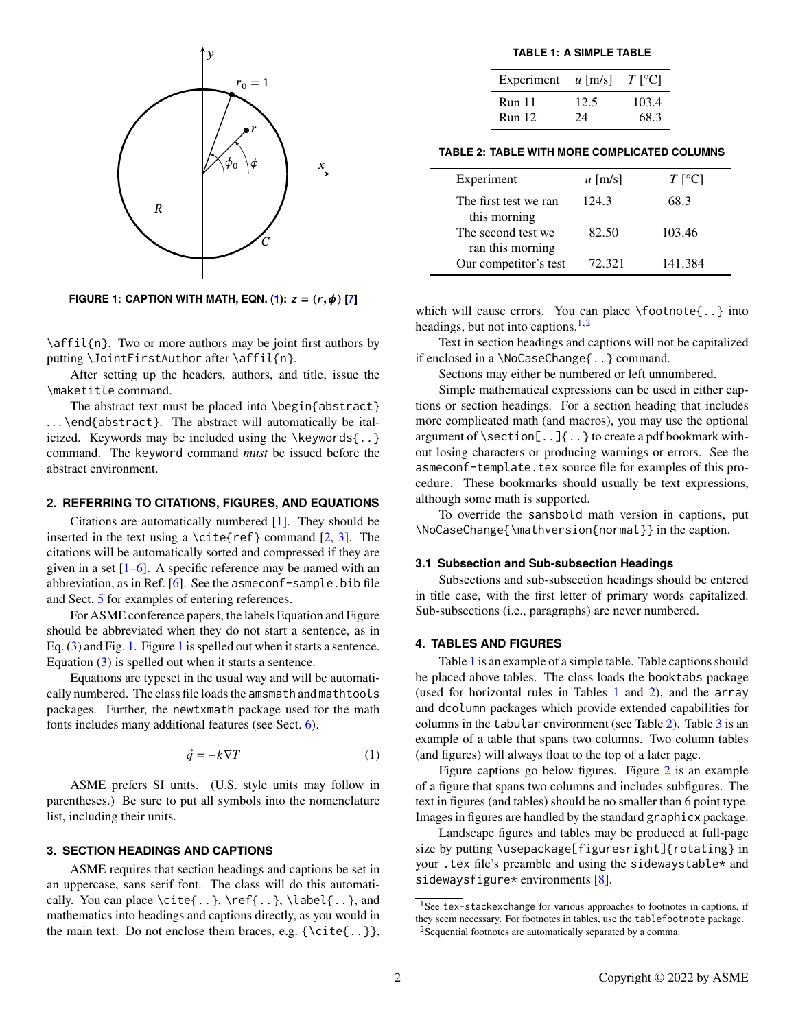

<span id="page-1-1"></span>**FIGURE 1: CAPTION WITH MATH, EQN. [\(1\)](#page-1-0):**  $z = (r, \phi)$  [\[7\]](#page-4-0)

\affil{n}. Two or more authors may be joint first authors by putting \JointFirstAuthor after \affil{n}.

After setting up the headers, authors, and title, issue the \maketitle command.

The abstract text must be placed into \begin{abstract} ... \end{abstract}. The abstract will automatically be italicized. Keywords may be included using the \keywords{..} command. The keyword command *must* be issued before the abstract environment.

#### **2. REFERRING TO CITATIONS, FIGURES, AND EQUATIONS**

Citations are automatically numbered [\[1\]](#page-4-1). They should be inserted in the text using a \cite{ref} command  $[2, 3]$  $[2, 3]$  $[2, 3]$ . The citations will be automatically sorted and compressed if they are given in a set  $[1-6]$  $[1-6]$ . A specific reference may be named with an abbreviation, as in Ref. [\[6\]](#page-4-4). See the asmeconf-sample.bib file and Sect. [5](#page-2-0) for examples of entering references.

For ASME conference papers, the labels Equation and Figure should be abbreviated when they do not start a sentence, as in Eq. [\(3\)](#page-2-1) and Fig. [1.](#page-1-1) Figure [1](#page-1-1) is spelled out when it starts a sentence. Equation [\(3\)](#page-2-1) is spelled out when it starts a sentence.

Equations are typeset in the usual way and will be automatically numbered. The class file loads the amsmath and mathtools packages. Further, the newtxmath package used for the math fonts includes many additional features (see Sect. [6\)](#page-2-2).

<span id="page-1-0"></span>
$$
\vec{q} = -k\nabla T \tag{1}
$$

ASME prefers SI units. (U.S. style units may follow in parentheses.) Be sure to put all symbols into the nomenclature list, including their units.

## **3. SECTION HEADINGS AND CAPTIONS**

ASME requires that section headings and captions be set in an uppercase, sans serif font. The class will do this automatically. You can place \cite{..}, \ref{..}, \label{..}, and mathematics into headings and captions directly, as you would in the main text. Do not enclose them braces, e.g.  $\{\cite\,.}\}$ ,

<span id="page-1-4"></span>**TABLE 1: A SIMPLE TABLE**

| Experiment    | $\mu$ [m/s] | $T$ [°C] |
|---------------|-------------|----------|
| <b>Run</b> 11 | 12.5        | 103.4    |
| <b>Run</b> 12 | 24          | 68.3     |

<span id="page-1-5"></span>**TABLE 2: TABLE WITH MORE COMPLICATED COLUMNS**

| Experiment                              | $\mu$ [m/s] | $T$ [ <sup>o</sup> C] |
|-----------------------------------------|-------------|-----------------------|
| The first test we ran<br>this morning   | 124.3       | 68.3                  |
| The second test we.<br>ran this morning | 82.50       | 103.46                |
| Our competitor's test                   | 72.321      | 141.384               |

which will cause errors. You can place \footnote{..} into headings, but not into captions. $1,2$  $1,2$ 

Text in section headings and captions will not be capitalized if enclosed in a \NoCaseChange{..} command.

Sections may either be numbered or left unnumbered.

Simple mathematical expressions can be used in either captions or section headings. For a section heading that includes more complicated math (and macros), you may use the optional argument of \section[..]{..} to create a pdf bookmark without losing characters or producing warnings or errors. See the asmeconf-template.tex source file for examples of this procedure. These bookmarks should usually be text expressions, although some math is supported.

To override the sansbold math version in captions, put \NoCaseChange{\mathversion{normal}} in the caption.

#### **3.1 Subsection and Sub-subsection Headings**

Subsections and sub-subsection headings should be entered in title case, with the first letter of primary words capitalized. Sub-subsections (i.e., paragraphs) are never numbered.

#### **4. TABLES AND FIGURES**

Table [1](#page-1-4) is an example of a simple table. Table captions should be placed above tables. The class loads the booktabs package (used for horizontal rules in Tables [1](#page-1-4) and [2\)](#page-1-5), and the array and dcolumn packages which provide extended capabilities for columns in the tabular environment (see Table [2\)](#page-1-5). Table [3](#page-2-3) is an example of a table that spans two columns. Two column tables (and figures) will always float to the top of a later page.

Figure captions go below figures. Figure [2](#page-3-0) is an example of a figure that spans two columns and includes subfigures. The text in figures (and tables) should be no smaller than 6 point type. Images in figures are handled by the standard graphicx package.

Landscape figures and tables may be produced at full-page size by putting \usepackage[figuresright]{rotating} in your .tex file's preamble and using the sidewaystable\* and sidewaysfigure\* environments  $[8]$ .

<span id="page-1-2"></span><sup>&</sup>lt;sup>1</sup>See tex-stackexchange for various approaches to footnotes in captions, if they seem necessary. For footnotes in tables, use the tablefootnote package.

<span id="page-1-3"></span><sup>&</sup>lt;sup>2</sup>Sequential footnotes are automatically separated by a comma.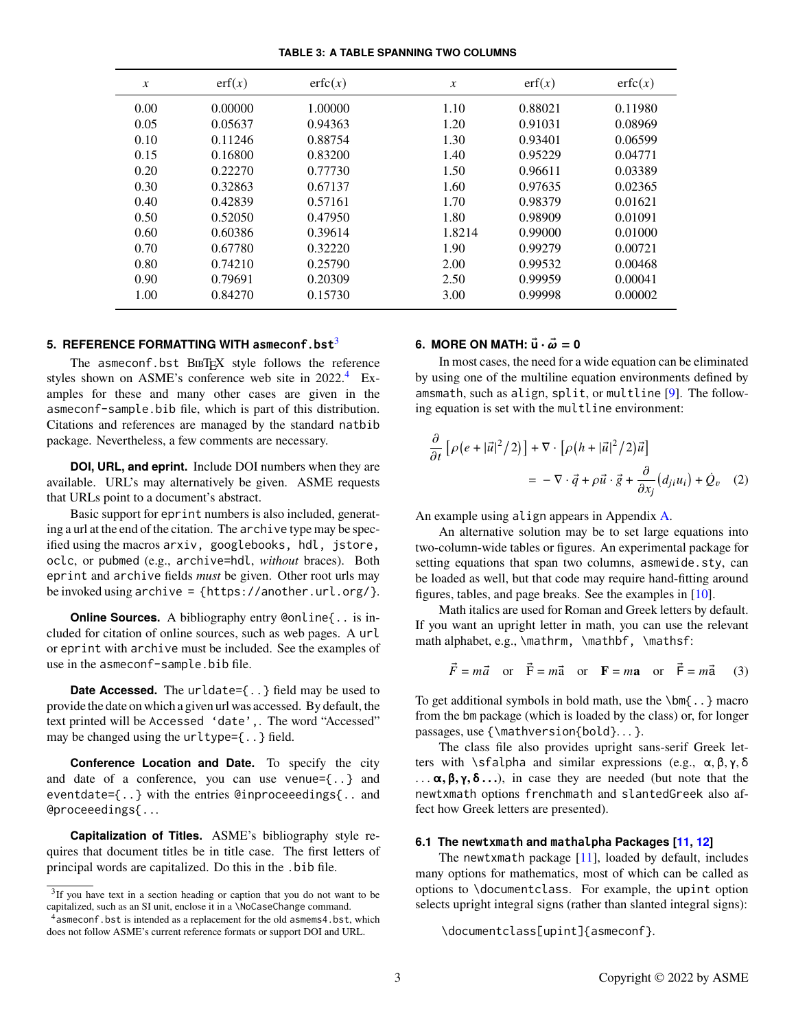#### <span id="page-2-3"></span>**TABLE 3: A TABLE SPANNING TWO COLUMNS**

| $\boldsymbol{x}$ | erf(x)  | erfc(x) | $\mathcal{X}$ | erf(x)  | erfc(x) |
|------------------|---------|---------|---------------|---------|---------|
| 0.00             | 0.00000 | 1.00000 | 1.10          | 0.88021 | 0.11980 |
| 0.05             | 0.05637 | 0.94363 | 1.20          | 0.91031 | 0.08969 |
| 0.10             | 0.11246 | 0.88754 | 1.30          | 0.93401 | 0.06599 |
| 0.15             | 0.16800 | 0.83200 | 1.40          | 0.95229 | 0.04771 |
| 0.20             | 0.22270 | 0.77730 | 1.50          | 0.96611 | 0.03389 |
| 0.30             | 0.32863 | 0.67137 | 1.60          | 0.97635 | 0.02365 |
| 0.40             | 0.42839 | 0.57161 | 1.70          | 0.98379 | 0.01621 |
| 0.50             | 0.52050 | 0.47950 | 1.80          | 0.98909 | 0.01091 |
| 0.60             | 0.60386 | 0.39614 | 1.8214        | 0.99000 | 0.01000 |
| 0.70             | 0.67780 | 0.32220 | 1.90          | 0.99279 | 0.00721 |
| 0.80             | 0.74210 | 0.25790 | 2.00          | 0.99532 | 0.00468 |
| 0.90             | 0.79691 | 0.20309 | 2.50          | 0.99959 | 0.00041 |
| 1.00             | 0.84270 | 0.15730 | 3.00          | 0.99998 | 0.00002 |

## <span id="page-2-0"></span>**5. REFERENCE FORMATTING WITH asmeconf.bst**[3](#page-2-4)

The asmeconf.bst BIBTEX style follows the reference styles shown on ASME's conference web site in 2022.<sup>[4](#page-2-5)</sup> Examples for these and many other cases are given in the asmeconf-sample.bib file, which is part of this distribution. Citations and references are managed by the standard natbib package. Nevertheless, a few comments are necessary.

**DOI, URL, and eprint.** Include DOI numbers when they are available. URL's may alternatively be given. ASME requests that URLs point to a document's abstract.

Basic support for eprint numbers is also included, generating a url at the end of the citation. The archive type may be specified using the macros arxiv, googlebooks, hdl, jstore, oclc, or pubmed (e.g., archive=hdl, *without* braces). Both eprint and archive fields *must* be given. Other root urls may be invoked using archive = {https://another.url.org/}.

**Online Sources.** A bibliography entry @online{.. is included for citation of online sources, such as web pages. A url or eprint with archive must be included. See the examples of use in the asmeconf-sample.bib file.

**Date Accessed.** The urldate={ $\ldots$ } field may be used to provide the date on which a given url was accessed. By default, the text printed will be Accessed 'date',. The word "Accessed" may be changed using the urltype={..} field.

**Conference Location and Date.** To specify the city and date of a conference, you can use venue={..} and eventdate={..} with the entries @inproceeedings{.. and @proceeedings{...

**Capitalization of Titles.** ASME's bibliography style requires that document titles be in title case. The first letters of principal words are capitalized. Do this in the .bib file.

# <span id="page-2-2"></span>**6. MORE ON MATH:**  $\vec{u} \cdot \vec{\omega} = 0$

In most cases, the need for a wide equation can be eliminated by using one of the multiline equation environments defined by amsmath, such as align, split, or multline [\[9\]](#page-4-6). The following equation is set with the multline environment:

$$
\frac{\partial}{\partial t} \left[ \rho \left( e + |\vec{u}|^2 / 2 \right) \right] + \nabla \cdot \left[ \rho \left( h + |\vec{u}|^2 / 2 \right) \vec{u} \right]
$$
\n
$$
= -\nabla \cdot \vec{q} + \rho \vec{u} \cdot \vec{g} + \frac{\partial}{\partial x_j} (d_{ji} u_i) + \dot{Q}_v \quad (2)
$$

An example using align appears in Appendix [A.](#page-5-0)

An alternative solution may be to set large equations into two-column-wide tables or figures. An experimental package for setting equations that span two columns, asmewide.sty, can be loaded as well, but that code may require hand-fitting around figures, tables, and page breaks. See the examples in [\[10\]](#page-4-7).

Math italics are used for Roman and Greek letters by default. If you want an upright letter in math, you can use the relevant math alphabet, e.g., \mathrm, \mathbf, \mathsf:

<span id="page-2-1"></span>
$$
\vec{F} = m\vec{a}
$$
 or  $\vec{F} = m\vec{a}$  or  $\mathbf{F} = m\mathbf{a}$  or  $\vec{F} = m\vec{a}$  (3)

To get additional symbols in bold math, use the \bm{..} macro from the bm package (which is loaded by the class) or, for longer passages, use {\mathversion{bold}...}.

The class file also provides upright sans-serif Greek letters with \sfalpha and similar expressions (e.g.,  $\alpha$ , β, γ, δ  $\ldots \alpha, \beta, \gamma, \delta \ldots$ ), in case they are needed (but note that the newtxmath options frenchmath and slantedGreek also affect how Greek letters are presented).

## **6.1 The newtxmath and mathalpha Packages [\[11,](#page-4-8) [12\]](#page-4-9)**

The newtxmath package [\[11\]](#page-4-8), loaded by default, includes many options for mathematics, most of which can be called as options to \documentclass. For example, the upint option selects upright integral signs (rather than slanted integral signs):

```
\documentclass[upint]{asmeconf}.
```
<span id="page-2-4"></span><sup>&</sup>lt;sup>3</sup>If you have text in a section heading or caption that you do not want to be capitalized, such as an SI unit, enclose it in a \NoCaseChange command.

<span id="page-2-5"></span><sup>&</sup>lt;sup>4</sup> asmeconf.bst is intended as a replacement for the old asmems4.bst, which does not follow ASME's current reference formats or support DOI and URL.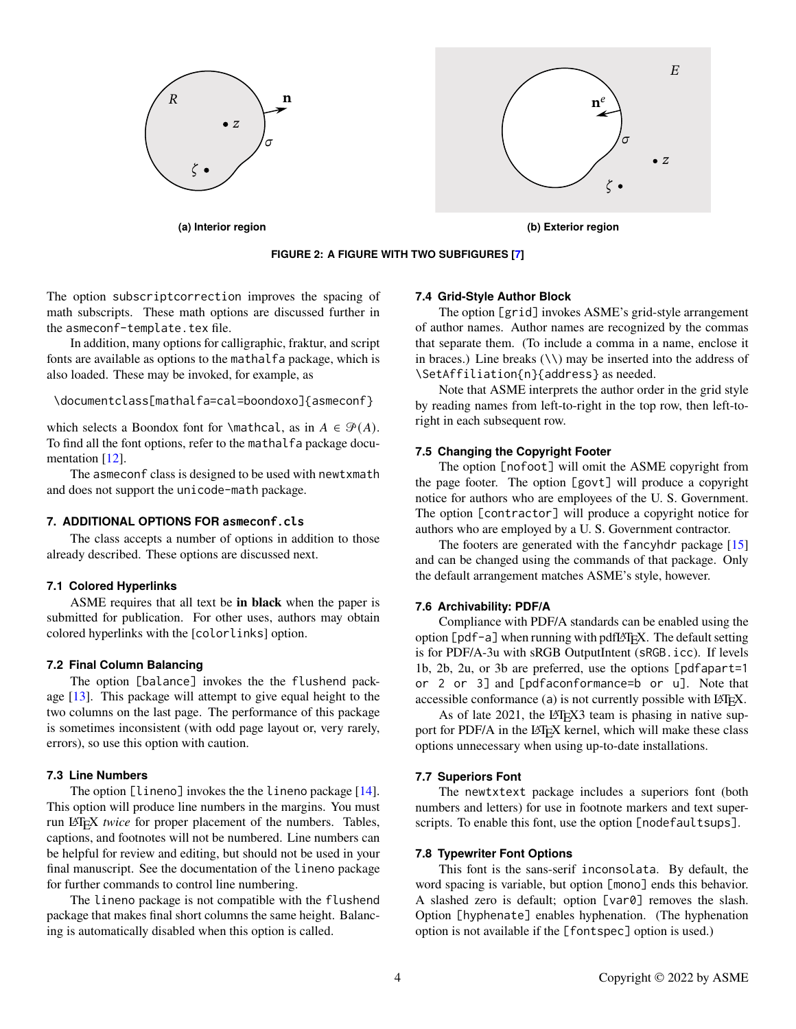

<span id="page-3-0"></span>**FIGURE 2: A FIGURE WITH TWO SUBFIGURES [\[7\]](#page-4-0)**

The option subscriptcorrection improves the spacing of math subscripts. These math options are discussed further in the asmeconf-template.tex file.

In addition, many options for calligraphic, fraktur, and script fonts are available as options to the mathalfa package, which is also loaded. These may be invoked, for example, as

```
\documentclass[mathalfa=cal=boondoxo]{asmeconf}
```
which selects a Boondox font for \mathcal, as in  $A \in \mathcal{P}(A)$ . To find all the font options, refer to the mathalfa package docu-mentation [\[12\]](#page-4-9).

The asmeconf class is designed to be used with newtxmath and does not support the unicode-math package.

## **7. ADDITIONAL OPTIONS FOR asmeconf.cls**

The class accepts a number of options in addition to those already described. These options are discussed next.

## **7.1 Colored Hyperlinks**

ASME requires that all text be **in black** when the paper is submitted for publication. For other uses, authors may obtain colored hyperlinks with the [colorlinks] option.

#### **7.2 Final Column Balancing**

The option [balance] invokes the the flushend package [\[13\]](#page-4-10). This package will attempt to give equal height to the two columns on the last page. The performance of this package is sometimes inconsistent (with odd page layout or, very rarely, errors), so use this option with caution.

## **7.3 Line Numbers**

The option [lineno] invokes the the lineno package [\[14\]](#page-4-11). This option will produce line numbers in the margins. You must run LATEX *twice* for proper placement of the numbers. Tables, captions, and footnotes will not be numbered. Line numbers can be helpful for review and editing, but should not be used in your final manuscript. See the documentation of the lineno package for further commands to control line numbering.

The lineno package is not compatible with the flushend package that makes final short columns the same height. Balancing is automatically disabled when this option is called.

#### **7.4 Grid-Style Author Block**

The option [grid] invokes ASME's grid-style arrangement of author names. Author names are recognized by the commas that separate them. (To include a comma in a name, enclose it in braces.) Line breaks  $(\setminus)$  may be inserted into the address of \SetAffiliation{n}{address} as needed.

Note that ASME interprets the author order in the grid style by reading names from left-to-right in the top row, then left-toright in each subsequent row.

#### **7.5 Changing the Copyright Footer**

The option [nofoot] will omit the ASME copyright from the page footer. The option [govt] will produce a copyright notice for authors who are employees of the U. S. Government. The option [contractor] will produce a copyright notice for authors who are employed by a U. S. Government contractor.

The footers are generated with the fancyhdr package [\[15\]](#page-4-12) and can be changed using the commands of that package. Only the default arrangement matches ASME's style, however.

## **7.6 Archivability: PDF/A**

Compliance with PDF/A standards can be enabled using the option  $[pdf-a]$  when running with pdfLAT<sub>E</sub>X. The default setting is for PDF/A-3u with sRGB OutputIntent (sRGB.icc). If levels 1b, 2b, 2u, or 3b are preferred, use the options [pdfapart=1 or 2 or 3] and [pdfaconformance=b or u]. Note that accessible conformance (a) is not currently possible with  $LATEX$ .

As of late 2021, the LAT<sub>E</sub>X<sub>3</sub> team is phasing in native support for PDF/A in the LATEX kernel, which will make these class options unnecessary when using up-to-date installations.

#### **7.7 Superiors Font**

The newtxtext package includes a superiors font (both numbers and letters) for use in footnote markers and text superscripts. To enable this font, use the option [nodefaultsups].

#### **7.8 Typewriter Font Options**

This font is the sans-serif inconsolata. By default, the word spacing is variable, but option [mono] ends this behavior. A slashed zero is default; option [var0] removes the slash. Option [hyphenate] enables hyphenation. (The hyphenation option is not available if the [fontspec] option is used.)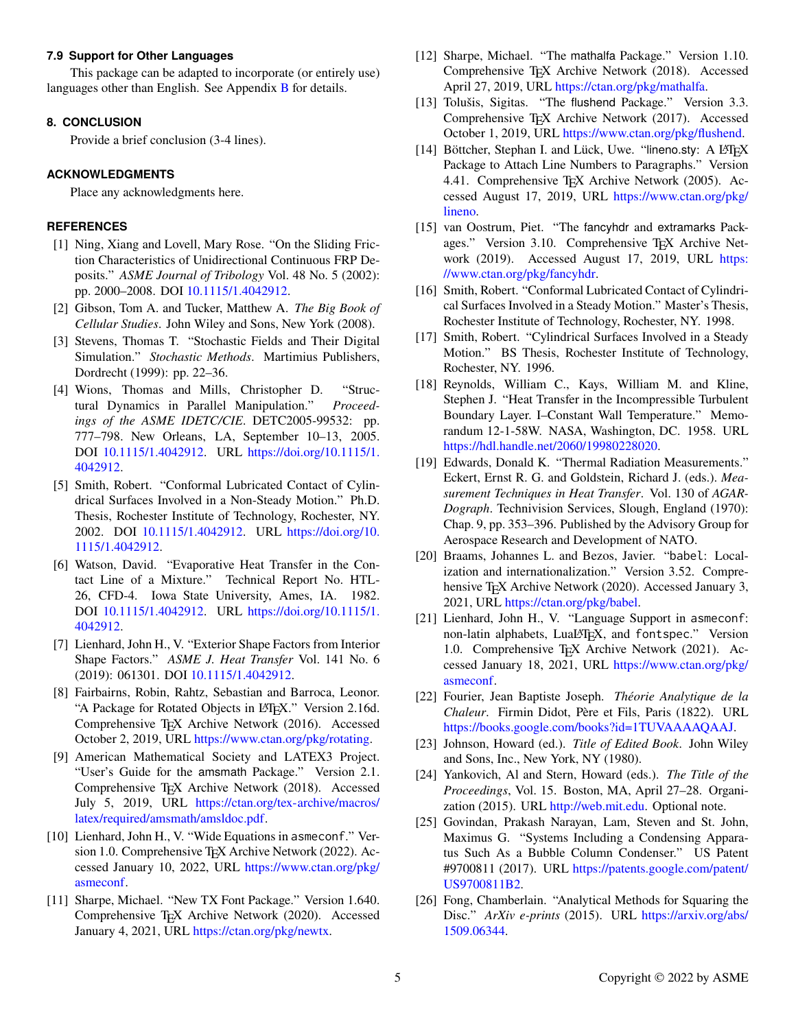## **7.9 Support for Other Languages**

This package can be adapted to incorporate (or entirely use) languages other than English. See Appendix [B](#page-5-1) for details.

# **8. CONCLUSION**

Provide a brief conclusion (3-4 lines).

# **ACKNOWLEDGMENTS**

Place any acknowledgments here.

# **REFERENCES**

- <span id="page-4-1"></span>[1] Ning, Xiang and Lovell, Mary Rose. "On the Sliding Friction Characteristics of Unidirectional Continuous FRP Deposits." *ASME Journal of Tribology* Vol. 48 No. 5 (2002): pp. 2000–2008. DOI [10.1115/1.4042912.](https://doi.org/10.1115/1.4042912)
- <span id="page-4-2"></span>[2] Gibson, Tom A. and Tucker, Matthew A. *The Big Book of Cellular Studies*. John Wiley and Sons, New York (2008).
- <span id="page-4-3"></span>[3] Stevens, Thomas T. "Stochastic Fields and Their Digital Simulation." *Stochastic Methods*. Martimius Publishers, Dordrecht (1999): pp. 22–36.
- [4] Wions, Thomas and Mills, Christopher D. "Structural Dynamics in Parallel Manipulation." *Proceedings of the ASME IDETC/CIE*. DETC2005-99532: pp. 777–798. New Orleans, LA, September 10–13, 2005. DOI [10.1115/1.4042912.](https://doi.org/10.1115/1.4042912) URL [https://doi.org/10.1115/1.](https://doi.org/10.1115/1.4042912) [4042912.](https://doi.org/10.1115/1.4042912)
- [5] Smith, Robert. "Conformal Lubricated Contact of Cylindrical Surfaces Involved in a Non-Steady Motion." Ph.D. Thesis, Rochester Institute of Technology, Rochester, NY. 2002. DOI [10.1115/1.4042912.](https://doi.org/10.1115/1.4042912) URL [https://doi.org/10.](https://doi.org/10.1115/1.4042912) [1115/1.4042912.](https://doi.org/10.1115/1.4042912)
- <span id="page-4-4"></span>[6] Watson, David. "Evaporative Heat Transfer in the Contact Line of a Mixture." Technical Report No. HTL-26, CFD-4. Iowa State University, Ames, IA. 1982. DOI [10.1115/1.4042912.](https://doi.org/10.1115/1.4042912) URL [https://doi.org/10.1115/1.](https://doi.org/10.1115/1.4042912) [4042912.](https://doi.org/10.1115/1.4042912)
- <span id="page-4-0"></span>[7] Lienhard, John H., V. "Exterior Shape Factors from Interior Shape Factors." *ASME J. Heat Transfer* Vol. 141 No. 6 (2019): 061301. DOI [10.1115/1.4042912.](https://doi.org/10.1115/1.4042912)
- <span id="page-4-5"></span>[8] Fairbairns, Robin, Rahtz, Sebastian and Barroca, Leonor. "A Package for Rotated Objects in L<sup>AT</sup>EX." Version 2.16d. Comprehensive T<sub>E</sub>X Archive Network (2016). Accessed October 2, 2019, URL [https://www.ctan.org/pkg/rotating.](https://www.ctan.org/pkg/rotating)
- <span id="page-4-6"></span>[9] American Mathematical Society and LATEX3 Project. "User's Guide for the amsmath Package." Version 2.1. Comprehensive T<sub>E</sub>X Archive Network (2018). Accessed July 5, 2019, URL [https://ctan.org/tex-archive/macros/](https://ctan.org/tex-archive/macros/latex/required/amsmath/amsldoc.pdf) [latex/required/amsmath/amsldoc.pdf.](https://ctan.org/tex-archive/macros/latex/required/amsmath/amsldoc.pdf)
- <span id="page-4-7"></span>[10] Lienhard, John H., V. "Wide Equations in asmeconf." Version 1.0. Comprehensive T<sub>E</sub>X Archive Network (2022). Accessed January 10, 2022, URL [https://www.ctan.org/pkg/](https://www.ctan.org/pkg/asmeconf) [asmeconf.](https://www.ctan.org/pkg/asmeconf)
- <span id="page-4-8"></span>[11] Sharpe, Michael. "New TX Font Package." Version 1.640. Comprehensive T<sub>E</sub>X Archive Network (2020). Accessed January 4, 2021, URL [https://ctan.org/pkg/newtx.](https://ctan.org/pkg/newtx)
- <span id="page-4-9"></span>[12] Sharpe, Michael. "The mathalfa Package." Version 1.10. Comprehensive TEX Archive Network (2018). Accessed April 27, 2019, URL [https://ctan.org/pkg/mathalfa.](https://ctan.org/pkg/mathalfa)
- <span id="page-4-10"></span>[13] Tolušis, Sigitas. "The flushend Package." Version 3.3. Comprehensive T<sub>E</sub>X Archive Network (2017). Accessed October 1, 2019, URL [https://www.ctan.org/pkg/flushend.](https://www.ctan.org/pkg/flushend)
- <span id="page-4-11"></span>[14] Böttcher, Stephan I. and Lück, Uwe. "lineno.sty: A LATEX Package to Attach Line Numbers to Paragraphs." Version 4.41. Comprehensive TEX Archive Network (2005). Accessed August 17, 2019, URL [https://www.ctan.org/pkg/](https://www.ctan.org/pkg/lineno) [lineno.](https://www.ctan.org/pkg/lineno)
- <span id="page-4-12"></span>[15] van Oostrum, Piet. "The fancyhdr and extramarks Packages." Version 3.10. Comprehensive T<sub>E</sub>X Archive Network (2019). Accessed August 17, 2019, URL [https:](https://www.ctan.org/pkg/fancyhdr) [//www.ctan.org/pkg/fancyhdr.](https://www.ctan.org/pkg/fancyhdr)
- [16] Smith, Robert. "Conformal Lubricated Contact of Cylindrical Surfaces Involved in a Steady Motion." Master's Thesis, Rochester Institute of Technology, Rochester, NY. 1998.
- [17] Smith, Robert. "Cylindrical Surfaces Involved in a Steady Motion." BS Thesis, Rochester Institute of Technology, Rochester, NY. 1996.
- [18] Reynolds, William C., Kays, William M. and Kline, Stephen J. "Heat Transfer in the Incompressible Turbulent Boundary Layer. I–Constant Wall Temperature." Memorandum 12-1-58W. NASA, Washington, DC. 1958. URL [https://hdl.handle.net/2060/19980228020.](https://hdl.handle.net/2060/19980228020)
- [19] Edwards, Donald K. "Thermal Radiation Measurements." Eckert, Ernst R. G. and Goldstein, Richard J. (eds.). *Measurement Techniques in Heat Transfer*. Vol. 130 of *AGAR-Dograph*. Technivision Services, Slough, England (1970): Chap. 9, pp. 353–396. Published by the Advisory Group for Aerospace Research and Development of NATO.
- [20] Braams, Johannes L. and Bezos, Javier. "babel: Localization and internationalization." Version 3.52. Comprehensive T<sub>E</sub>X Archive Network (2020). Accessed January 3, 2021, URL [https://ctan.org/pkg/babel.](https://ctan.org/pkg/babel)
- <span id="page-4-13"></span>[21] Lienhard, John H., V. "Language Support in asmeconf: non-latin alphabets, LuaL<sup>AT</sup>EX, and fontspec." Version 1.0. Comprehensive T<sub>E</sub>X Archive Network (2021). Accessed January 18, 2021, URL [https://www.ctan.org/pkg/](https://www.ctan.org/pkg/asmeconf) [asmeconf.](https://www.ctan.org/pkg/asmeconf)
- <span id="page-4-14"></span>[22] Fourier, Jean Baptiste Joseph. *Théorie Analytique de la Chaleur*. Firmin Didot, Père et Fils, Paris (1822). URL [https://books.google.com/books?id=1TUVAAAAQAAJ.](https://books.google.com/books?id=1TUVAAAAQAAJ)
- [23] Johnson, Howard (ed.). *Title of Edited Book*. John Wiley and Sons, Inc., New York, NY (1980).
- [24] Yankovich, Al and Stern, Howard (eds.). *The Title of the Proceedings*, Vol. 15. Boston, MA, April 27–28. Organization (2015). URL [http://web.mit.edu.](http://web.mit.edu) Optional note.
- [25] Govindan, Prakash Narayan, Lam, Steven and St. John, Maximus G. "Systems Including a Condensing Apparatus Such As a Bubble Column Condenser." US Patent #9700811 (2017). URL [https://patents.google.com/patent/](https://patents.google.com/patent/US9700811B2) [US9700811B2.](https://patents.google.com/patent/US9700811B2)
- [26] Fong, Chamberlain. "Analytical Methods for Squaring the Disc." *ArXiv e-prints* (2015). URL [https://arxiv.org/abs/](https://arxiv.org/abs/1509.06344) [1509.06344.](https://arxiv.org/abs/1509.06344)